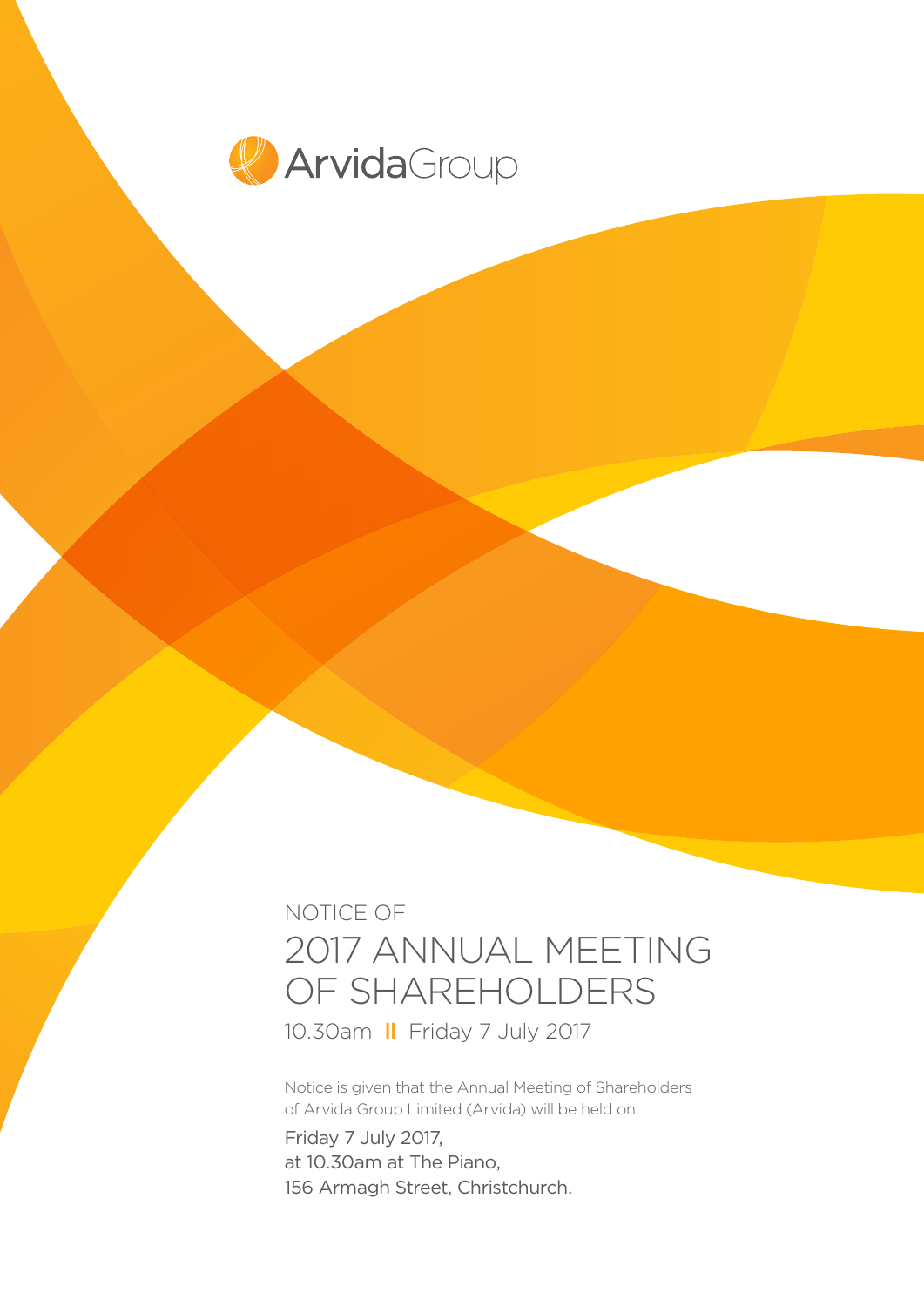

# NOTICE OF 2017 ANNUAL MEETING OF SHAREHOLDERS

10.30am ll Friday 7 July 2017

Notice is given that the Annual Meeting of Shareholders of Arvida Group Limited (Arvida) will be held on:

Friday 7 July 2017, at 10.30am at The Piano, 156 Armagh Street, Christchurch.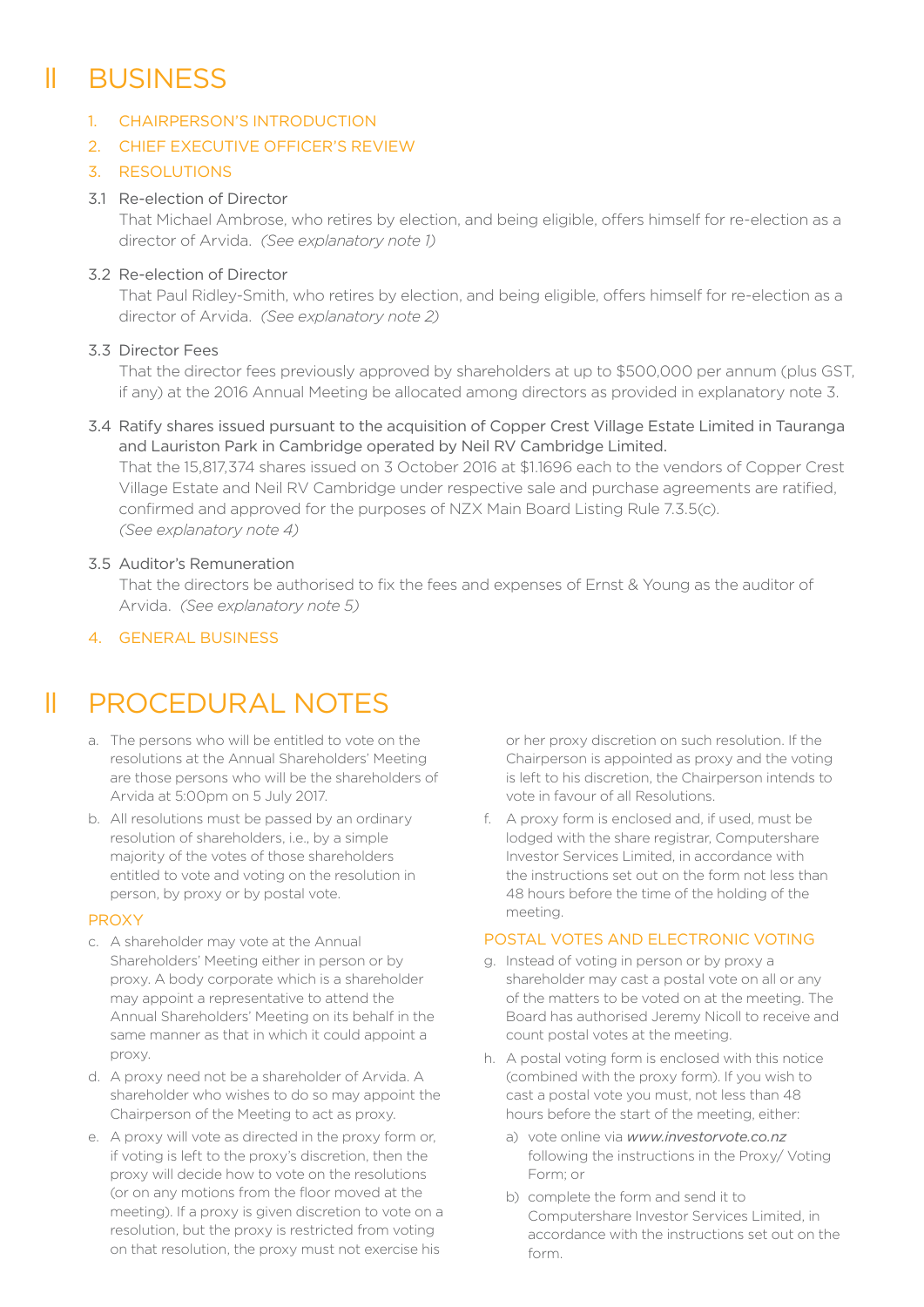# ll BUSINESS

### 1. CHAIRPERSON'S INTRODUCTION

# 2. CHIEF EXECUTIVE OFFICER'S REVIEW

#### 3. RESOLUTIONS

### 3.1 Re-election of Director

That Michael Ambrose, who retires by election, and being eligible, offers himself for re-election as a director of Arvida. *(See explanatory note 1)*

### 3.2 Re-election of Director

That Paul Ridley-Smith, who retires by election, and being eligible, offers himself for re-election as a director of Arvida. *(See explanatory note 2)*

### 3.3 Director Fees

That the director fees previously approved by shareholders at up to \$500,000 per annum (plus GST, if any) at the 2016 Annual Meeting be allocated among directors as provided in explanatory note 3.

#### 3.4 Ratify shares issued pursuant to the acquisition of Copper Crest Village Estate Limited in Tauranga and Lauriston Park in Cambridge operated by Neil RV Cambridge Limited.

That the 15,817,374 shares issued on 3 October 2016 at \$1.1696 each to the vendors of Copper Crest Village Estate and Neil RV Cambridge under respective sale and purchase agreements are ratified, confirmed and approved for the purposes of NZX Main Board Listing Rule 7.3.5(c). *(See explanatory note 4)*

#### 3.5 Auditor's Remuneration

That the directors be authorised to fix the fees and expenses of Ernst & Young as the auditor of Arvida. *(See explanatory note 5)*

# 4. GENERAL BUSINESS

# ll PROCEDURAL NOTES

- a. The persons who will be entitled to vote on the resolutions at the Annual Shareholders' Meeting are those persons who will be the shareholders of Arvida at 5:00pm on 5 July 2017.
- b. All resolutions must be passed by an ordinary resolution of shareholders, i.e., by a simple majority of the votes of those shareholders entitled to vote and voting on the resolution in person, by proxy or by postal vote.

#### PROXY

- c. A shareholder may vote at the Annual Shareholders' Meeting either in person or by proxy. A body corporate which is a shareholder may appoint a representative to attend the Annual Shareholders' Meeting on its behalf in the same manner as that in which it could appoint a proxy.
- d. A proxy need not be a shareholder of Arvida. A shareholder who wishes to do so may appoint the Chairperson of the Meeting to act as proxy.
- e. A proxy will vote as directed in the proxy form or, if voting is left to the proxy's discretion, then the proxy will decide how to vote on the resolutions (or on any motions from the floor moved at the meeting). If a proxy is given discretion to vote on a resolution, but the proxy is restricted from voting on that resolution, the proxy must not exercise his

or her proxy discretion on such resolution. If the Chairperson is appointed as proxy and the voting is left to his discretion, the Chairperson intends to vote in favour of all Resolutions.

f. A proxy form is enclosed and, if used, must be lodged with the share registrar, Computershare Investor Services Limited, in accordance with the instructions set out on the form not less than 48 hours before the time of the holding of the meeting.

#### POSTAL VOTES AND ELECTRONIC VOTING

- g. Instead of voting in person or by proxy a shareholder may cast a postal vote on all or any of the matters to be voted on at the meeting. The Board has authorised Jeremy Nicoll to receive and count postal votes at the meeting.
- h. A postal voting form is enclosed with this notice (combined with the proxy form). If you wish to cast a postal vote you must, not less than 48 hours before the start of the meeting, either:
	- a) vote online via *www.investorvote.co.nz* following the instructions in the Proxy/ Voting Form; or
	- b) complete the form and send it to Computershare Investor Services Limited, in accordance with the instructions set out on the form.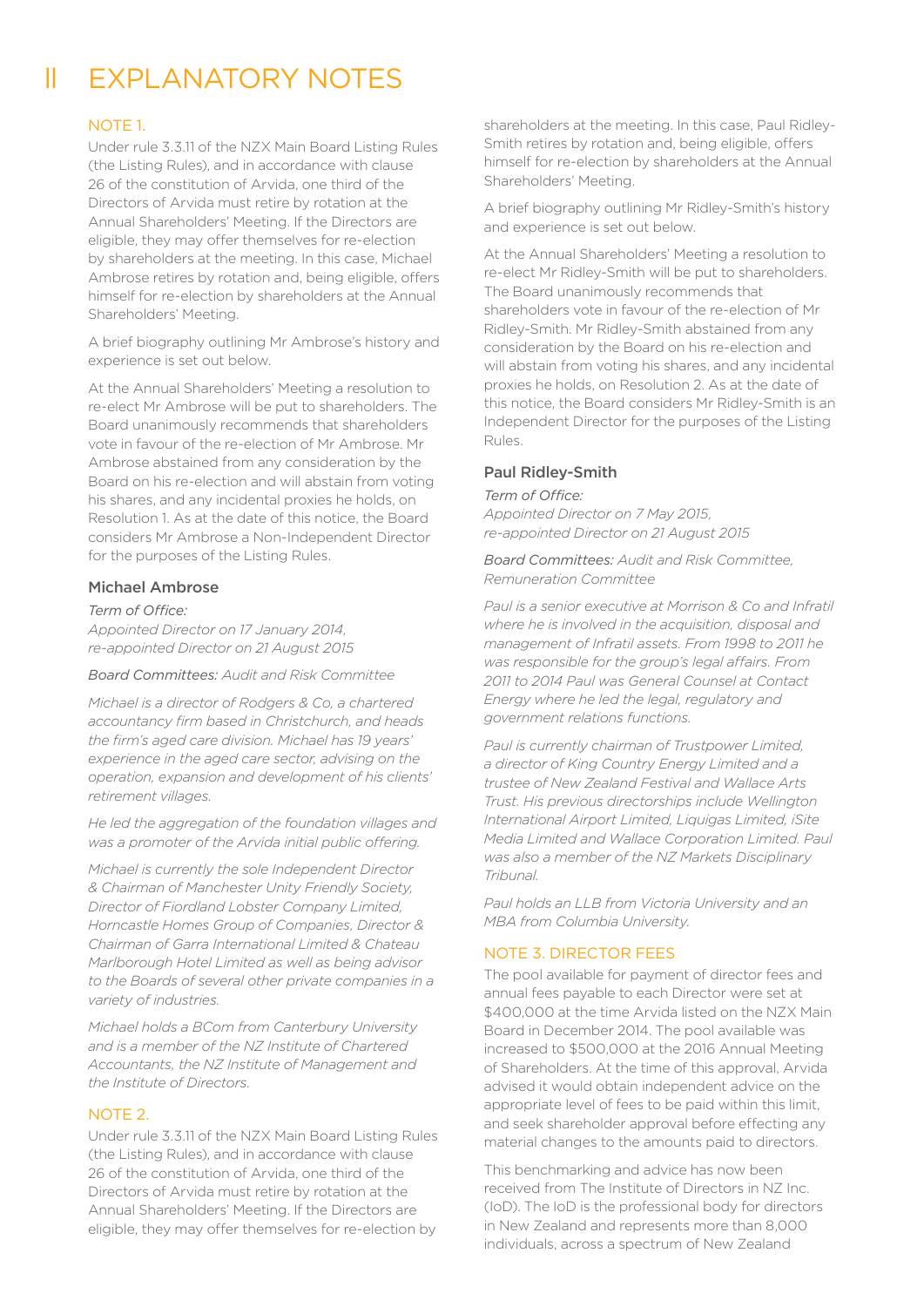# ll EXPLANATORY NOTES

#### NOTE 1.

Under rule 3.3.11 of the NZX Main Board Listing Rules (the Listing Rules), and in accordance with clause 26 of the constitution of Arvida, one third of the Directors of Arvida must retire by rotation at the Annual Shareholders' Meeting. If the Directors are eligible, they may offer themselves for re-election by shareholders at the meeting. In this case, Michael Ambrose retires by rotation and, being eligible, offers himself for re-election by shareholders at the Annual Shareholders' Meeting.

A brief biography outlining Mr Ambrose's history and experience is set out below.

At the Annual Shareholders' Meeting a resolution to re-elect Mr Ambrose will be put to shareholders. The Board unanimously recommends that shareholders vote in favour of the re-election of Mr Ambrose. Mr Ambrose abstained from any consideration by the Board on his re-election and will abstain from voting his shares, and any incidental proxies he holds, on Resolution 1. As at the date of this notice, the Board considers Mr Ambrose a Non-Independent Director for the purposes of the Listing Rules.

#### Michael Ambrose

*Term of Office: Appointed Director on 17 January 2014, re-appointed Director on 21 August 2015*

#### *Board Committees: Audit and Risk Committee*

*Michael is a director of Rodgers & Co, a chartered accountancy firm based in Christchurch, and heads the firm's aged care division. Michael has 19 years' experience in the aged care sector, advising on the operation, expansion and development of his clients' retirement villages.*

*He led the aggregation of the foundation villages and was a promoter of the Arvida initial public offering.* 

*Michael is currently the sole Independent Director & Chairman of Manchester Unity Friendly Society, Director of Fiordland Lobster Company Limited, Horncastle Homes Group of Companies, Director & Chairman of Garra International Limited & Chateau Marlborough Hotel Limited as well as being advisor to the Boards of several other private companies in a variety of industries.*

*Michael holds a BCom from Canterbury University and is a member of the NZ Institute of Chartered Accountants, the NZ Institute of Management and the Institute of Directors.*

#### NOTE 2.

Under rule 3.3.11 of the NZX Main Board Listing Rules (the Listing Rules), and in accordance with clause 26 of the constitution of Arvida, one third of the Directors of Arvida must retire by rotation at the Annual Shareholders' Meeting. If the Directors are eligible, they may offer themselves for re-election by

shareholders at the meeting. In this case, Paul Ridley-Smith retires by rotation and, being eligible, offers himself for re-election by shareholders at the Annual Shareholders' Meeting.

A brief biography outlining Mr Ridley-Smith's history and experience is set out below.

At the Annual Shareholders' Meeting a resolution to re-elect Mr Ridley-Smith will be put to shareholders. The Board unanimously recommends that shareholders vote in favour of the re-election of Mr Ridley-Smith. Mr Ridley-Smith abstained from any consideration by the Board on his re-election and will abstain from voting his shares, and any incidental proxies he holds, on Resolution 2. As at the date of this notice, the Board considers Mr Ridley-Smith is an Independent Director for the purposes of the Listing Rules.

#### Paul Ridley-Smith

#### *Term of Office:*

*Appointed Director on 7 May 2015, re-appointed Director on 21 August 2015*

*Board Committees: Audit and Risk Committee, Remuneration Committee*

*Paul is a senior executive at Morrison & Co and Infratil where he is involved in the acquisition, disposal and management of Infratil assets. From 1998 to 2011 he was responsible for the group's legal affairs. From 2011 to 2014 Paul was General Counsel at Contact Energy where he led the legal, regulatory and government relations functions.* 

*Paul is currently chairman of Trustpower Limited, a director of King Country Energy Limited and a trustee of New Zealand Festival and Wallace Arts Trust. His previous directorships include Wellington International Airport Limited, Liquigas Limited, iSite Media Limited and Wallace Corporation Limited. Paul was also a member of the NZ Markets Disciplinary Tribunal.*

*Paul holds an LLB from Victoria University and an MBA from Columbia University.*

#### NOTE 3. DIRECTOR FEES

The pool available for payment of director fees and annual fees payable to each Director were set at \$400,000 at the time Arvida listed on the NZX Main Board in December 2014. The pool available was increased to \$500,000 at the 2016 Annual Meeting of Shareholders. At the time of this approval, Arvida advised it would obtain independent advice on the appropriate level of fees to be paid within this limit, and seek shareholder approval before effecting any material changes to the amounts paid to directors.

This benchmarking and advice has now been received from The Institute of Directors in NZ Inc. (IoD). The IoD is the professional body for directors in New Zealand and represents more than 8,000 individuals, across a spectrum of New Zealand